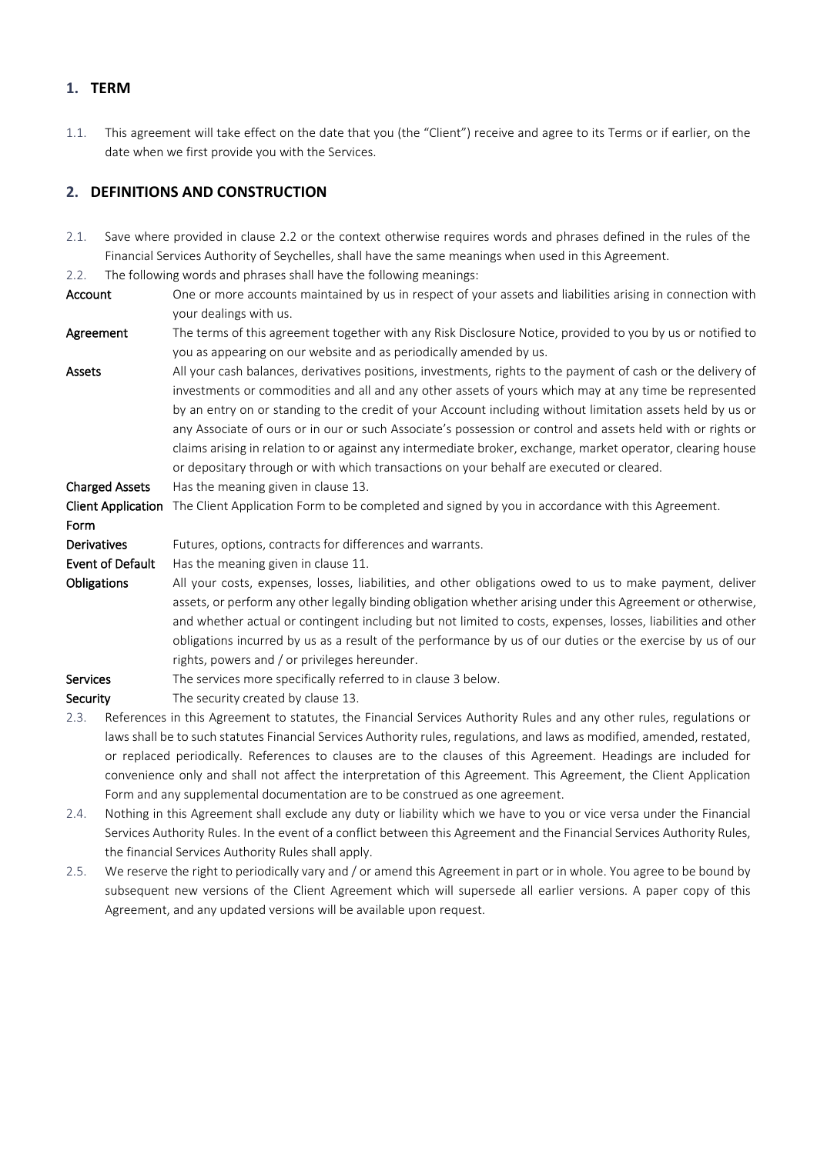### **1. TERM**

1.1. This agreement will take effect on the date that you (the "Client") receive and agree to its Terms or if earlier, on the date when we first provide you with the Services.

## **2. DEFINITIONS AND CONSTRUCTION**

- 2.1. Save where provided in clause 2.2 or the context otherwise requires words and phrases defined in the rules of the Financial Services Authority of Seychelles, shall have the same meanings when used in this Agreement.
- 2.2. The following words and phrases shall have the following meanings:
- Account One or more accounts maintained by us in respect of your assets and liabilities arising in connection with your dealings with us.

Agreement The terms of this agreement together with any Risk Disclosure Notice, provided to you by us or notified to you as appearing on our website and as periodically amended by us.

Assets All your cash balances, derivatives positions, investments, rights to the payment of cash or the delivery of investments or commodities and all and any other assets of yours which may at any time be represented by an entry on or standing to the credit of your Account including without limitation assets held by us or any Associate of ours or in our or such Associate's possession or control and assets held with or rights or claims arising in relation to or against any intermediate broker, exchange, market operator, clearing house or depositary through or with which transactions on your behalf are executed or cleared.

Charged Assets Has the meaning given in clause 13.

#### Client Application The Client Application Form to be completed and signed by you in accordance with this Agreement.

Form Derivatives Futures, options, contracts for differences and warrants. Event of Default Has the meaning given in clause 11. Obligations All your costs, expenses, losses, liabilities, and other obligations owed to us to make payment, deliver assets, or perform any other legally binding obligation whether arising under this Agreement or otherwise, and whether actual or contingent including but not limited to costs, expenses, losses, liabilities and other obligations incurred by us as a result of the performance by us of our duties or the exercise by us of our rights, powers and / or privileges hereunder.

- Services The services more specifically referred to in clause 3 below.
- Security The security created by clause 13.
- 2.3. References in this Agreement to statutes, the Financial Services Authority Rules and any other rules, regulations or laws shall be to such statutes Financial Services Authority rules, regulations, and laws as modified, amended, restated, or replaced periodically. References to clauses are to the clauses of this Agreement. Headings are included for convenience only and shall not affect the interpretation of this Agreement. This Agreement, the Client Application Form and any supplemental documentation are to be construed as one agreement.
- 2.4. Nothing in this Agreement shall exclude any duty or liability which we have to you or vice versa under the Financial Services Authority Rules. In the event of a conflict between this Agreement and the Financial Services Authority Rules, the financial Services Authority Rules shall apply.
- 2.5. We reserve the right to periodically vary and / or amend this Agreement in part or in whole. You agree to be bound by subsequent new versions of the Client Agreement which will supersede all earlier versions. A paper copy of this Agreement, and any updated versions will be available upon request.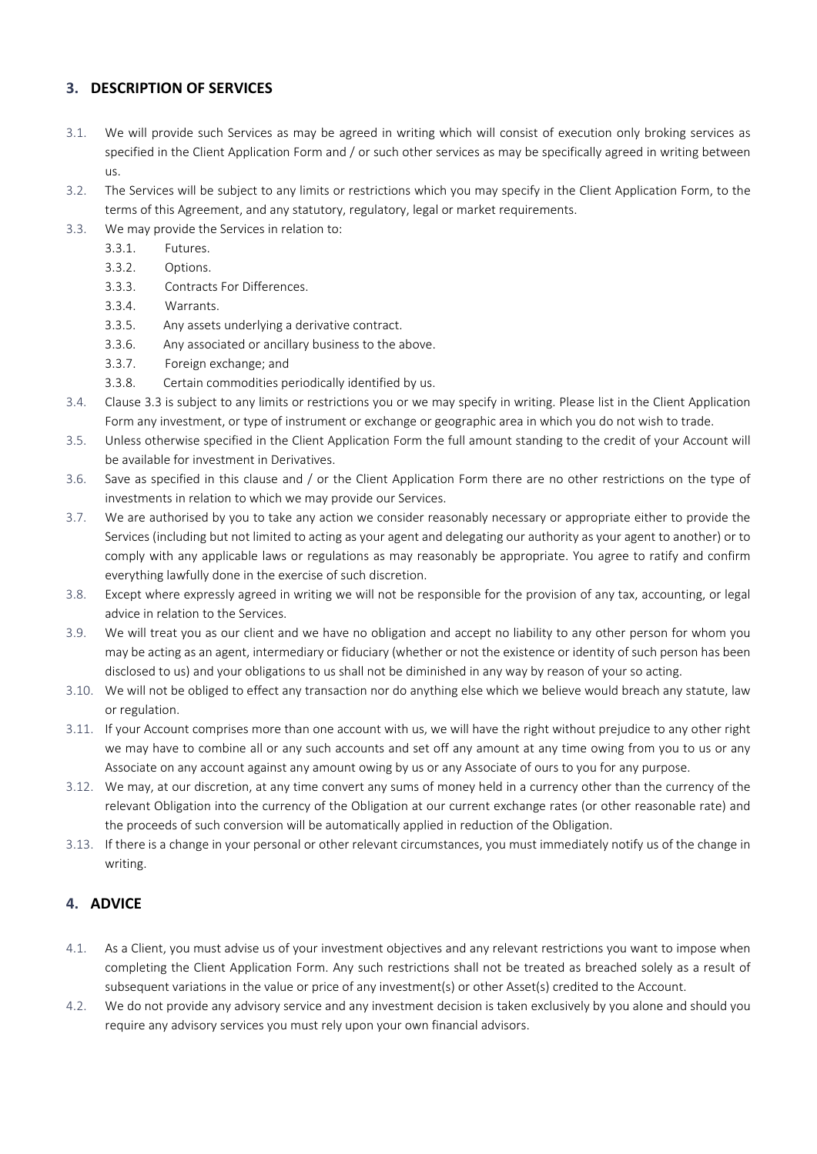## **3. DESCRIPTION OF SERVICES**

- 3.1. We will provide such Services as may be agreed in writing which will consist of execution only broking services as specified in the Client Application Form and / or such other services as may be specifically agreed in writing between us.
- 3.2. The Services will be subject to any limits or restrictions which you may specify in the Client Application Form, to the terms of this Agreement, and any statutory, regulatory, legal or market requirements.
- 3.3. We may provide the Services in relation to:
	- 3.3.1. Futures.
	- 3.3.2. Options.
	- 3.3.3. Contracts For Differences.
	- 3.3.4. Warrants.
	- 3.3.5. Any assets underlying a derivative contract.
	- 3.3.6. Any associated or ancillary business to the above.
	- 3.3.7. Foreign exchange; and
	- 3.3.8. Certain commodities periodically identified by us.
- 3.4. Clause 3.3 is subject to any limits or restrictions you or we may specify in writing. Please list in the Client Application Form any investment, or type of instrument or exchange or geographic area in which you do not wish to trade.
- 3.5. Unless otherwise specified in the Client Application Form the full amount standing to the credit of your Account will be available for investment in Derivatives.
- 3.6. Save as specified in this clause and / or the Client Application Form there are no other restrictions on the type of investments in relation to which we may provide our Services.
- 3.7. We are authorised by you to take any action we consider reasonably necessary or appropriate either to provide the Services (including but not limited to acting as your agent and delegating our authority as your agent to another) or to comply with any applicable laws or regulations as may reasonably be appropriate. You agree to ratify and confirm everything lawfully done in the exercise of such discretion.
- 3.8. Except where expressly agreed in writing we will not be responsible for the provision of any tax, accounting, or legal advice in relation to the Services.
- 3.9. We will treat you as our client and we have no obligation and accept no liability to any other person for whom you may be acting as an agent, intermediary or fiduciary (whether or not the existence or identity of such person has been disclosed to us) and your obligations to us shall not be diminished in any way by reason of your so acting.
- 3.10. We will not be obliged to effect any transaction nor do anything else which we believe would breach any statute, law or regulation.
- 3.11. If your Account comprises more than one account with us, we will have the right without prejudice to any other right we may have to combine all or any such accounts and set off any amount at any time owing from you to us or any Associate on any account against any amount owing by us or any Associate of ours to you for any purpose.
- 3.12. We may, at our discretion, at any time convert any sums of money held in a currency other than the currency of the relevant Obligation into the currency of the Obligation at our current exchange rates (or other reasonable rate) and the proceeds of such conversion will be automatically applied in reduction of the Obligation.
- 3.13. If there is a change in your personal or other relevant circumstances, you must immediately notify us of the change in writing.

# **4. ADVICE**

- 4.1. As a Client, you must advise us of your investment objectives and any relevant restrictions you want to impose when completing the Client Application Form. Any such restrictions shall not be treated as breached solely as a result of subsequent variations in the value or price of any investment(s) or other Asset(s) credited to the Account.
- 4.2. We do not provide any advisory service and any investment decision is taken exclusively by you alone and should you require any advisory services you must rely upon your own financial advisors.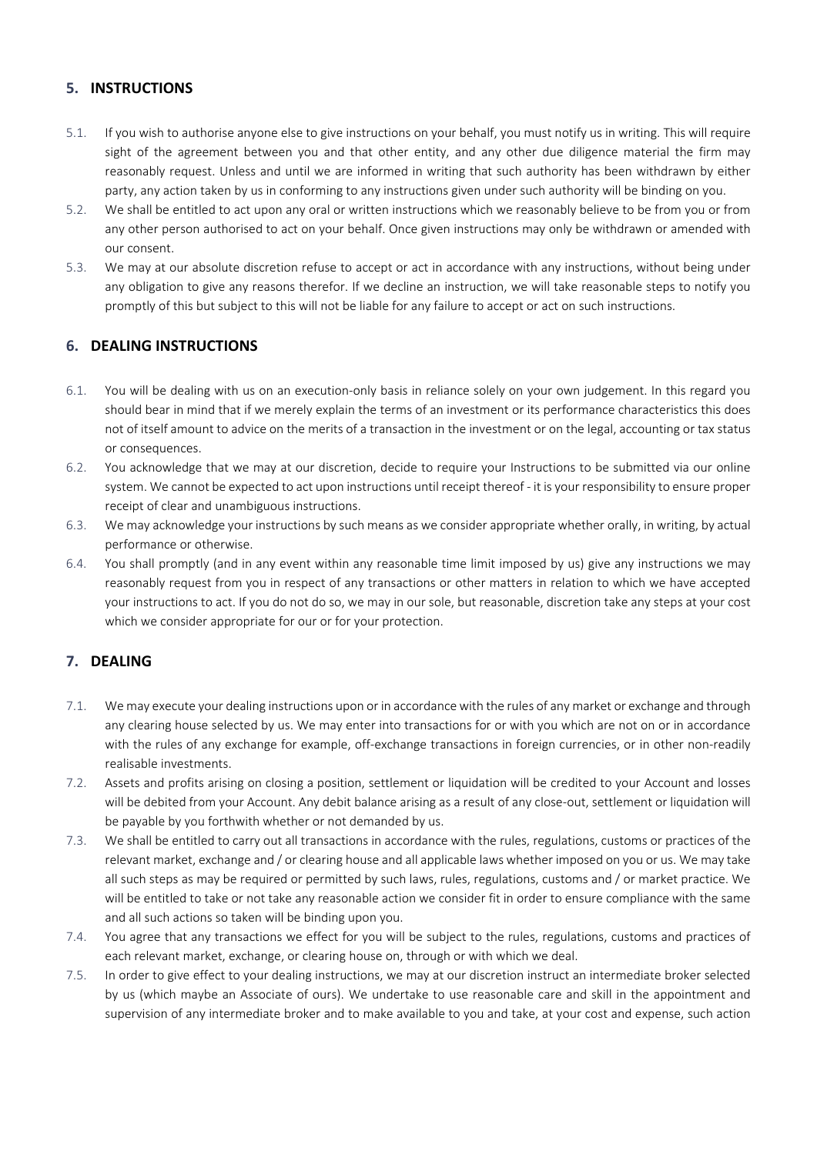## **5. INSTRUCTIONS**

- 5.1. If you wish to authorise anyone else to give instructions on your behalf, you must notify us in writing. This will require sight of the agreement between you and that other entity, and any other due diligence material the firm may reasonably request. Unless and until we are informed in writing that such authority has been withdrawn by either party, any action taken by us in conforming to any instructions given under such authority will be binding on you.
- 5.2. We shall be entitled to act upon any oral or written instructions which we reasonably believe to be from you or from any other person authorised to act on your behalf. Once given instructions may only be withdrawn or amended with our consent.
- 5.3. We may at our absolute discretion refuse to accept or act in accordance with any instructions, without being under any obligation to give any reasons therefor. If we decline an instruction, we will take reasonable steps to notify you promptly of this but subject to this will not be liable for any failure to accept or act on such instructions.

## **6. DEALING INSTRUCTIONS**

- 6.1. You will be dealing with us on an execution-only basis in reliance solely on your own judgement. In this regard you should bear in mind that if we merely explain the terms of an investment or its performance characteristics this does not of itself amount to advice on the merits of a transaction in the investment or on the legal, accounting or tax status or consequences.
- 6.2. You acknowledge that we may at our discretion, decide to require your Instructions to be submitted via our online system. We cannot be expected to act upon instructions until receipt thereof - it is your responsibility to ensure proper receipt of clear and unambiguous instructions.
- 6.3. We may acknowledge your instructions by such means as we consider appropriate whether orally, in writing, by actual performance or otherwise.
- 6.4. You shall promptly (and in any event within any reasonable time limit imposed by us) give any instructions we may reasonably request from you in respect of any transactions or other matters in relation to which we have accepted your instructions to act. If you do not do so, we may in our sole, but reasonable, discretion take any steps at your cost which we consider appropriate for our or for your protection.

# **7. DEALING**

- 7.1. We may execute your dealing instructions upon or in accordance with the rules of any market or exchange and through any clearing house selected by us. We may enter into transactions for or with you which are not on or in accordance with the rules of any exchange for example, off-exchange transactions in foreign currencies, or in other non-readily realisable investments.
- 7.2. Assets and profits arising on closing a position, settlement or liquidation will be credited to your Account and losses will be debited from your Account. Any debit balance arising as a result of any close-out, settlement or liquidation will be payable by you forthwith whether or not demanded by us.
- 7.3. We shall be entitled to carry out all transactions in accordance with the rules, regulations, customs or practices of the relevant market, exchange and / or clearing house and all applicable laws whether imposed on you or us. We may take all such steps as may be required or permitted by such laws, rules, regulations, customs and / or market practice. We will be entitled to take or not take any reasonable action we consider fit in order to ensure compliance with the same and all such actions so taken will be binding upon you.
- 7.4. You agree that any transactions we effect for you will be subject to the rules, regulations, customs and practices of each relevant market, exchange, or clearing house on, through or with which we deal.
- 7.5. In order to give effect to your dealing instructions, we may at our discretion instruct an intermediate broker selected by us (which maybe an Associate of ours). We undertake to use reasonable care and skill in the appointment and supervision of any intermediate broker and to make available to you and take, at your cost and expense, such action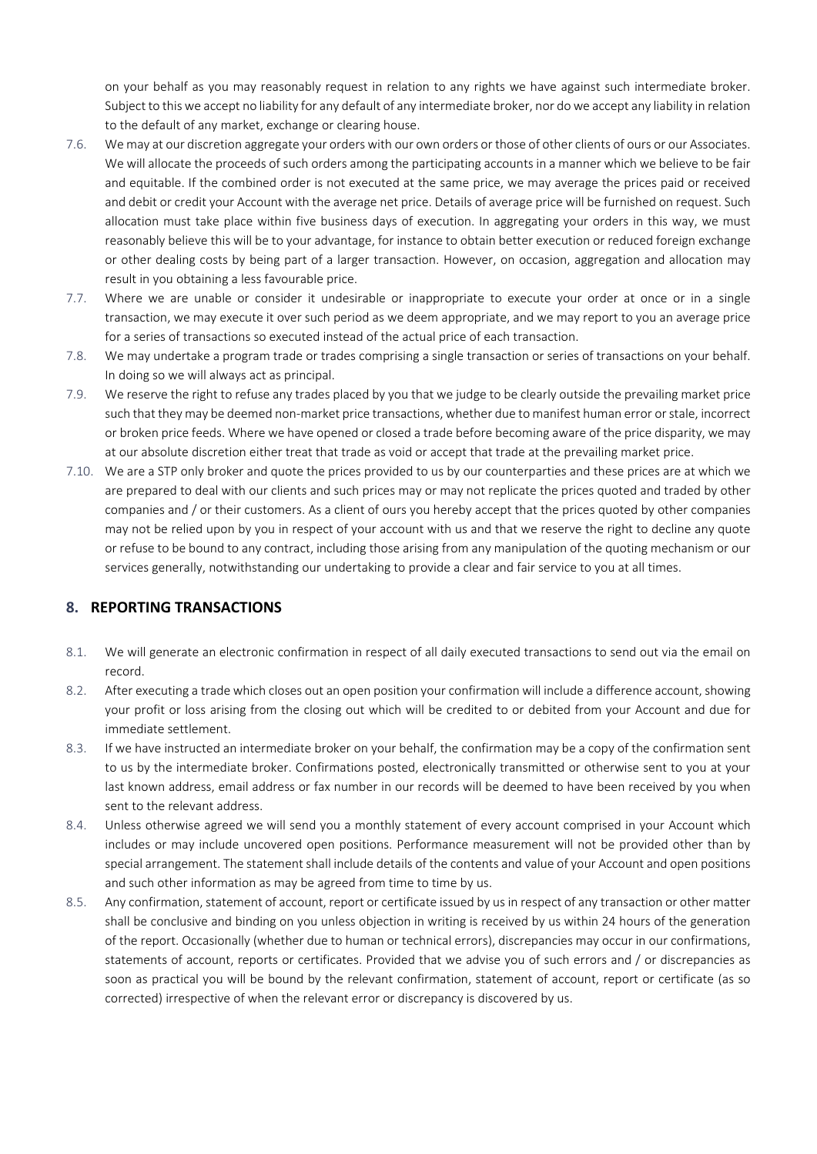on your behalf as you may reasonably request in relation to any rights we have against such intermediate broker. Subject to this we accept no liability for any default of any intermediate broker, nor do we accept any liability in relation to the default of any market, exchange or clearing house.

- 7.6. We may at our discretion aggregate your orders with our own orders or those of other clients of ours or our Associates. We will allocate the proceeds of such orders among the participating accounts in a manner which we believe to be fair and equitable. If the combined order is not executed at the same price, we may average the prices paid or received and debit or credit your Account with the average net price. Details of average price will be furnished on request. Such allocation must take place within five business days of execution. In aggregating your orders in this way, we must reasonably believe this will be to your advantage, for instance to obtain better execution or reduced foreign exchange or other dealing costs by being part of a larger transaction. However, on occasion, aggregation and allocation may result in you obtaining a less favourable price.
- 7.7. Where we are unable or consider it undesirable or inappropriate to execute your order at once or in a single transaction, we may execute it over such period as we deem appropriate, and we may report to you an average price for a series of transactions so executed instead of the actual price of each transaction.
- 7.8. We may undertake a program trade or trades comprising a single transaction or series of transactions on your behalf. In doing so we will always act as principal.
- 7.9. We reserve the right to refuse any trades placed by you that we judge to be clearly outside the prevailing market price such that they may be deemed non-market price transactions, whether due to manifest human error or stale, incorrect or broken price feeds. Where we have opened or closed a trade before becoming aware of the price disparity, we may at our absolute discretion either treat that trade as void or accept that trade at the prevailing market price.
- 7.10. We are a STP only broker and quote the prices provided to us by our counterparties and these prices are at which we are prepared to deal with our clients and such prices may or may not replicate the prices quoted and traded by other companies and / or their customers. As a client of ours you hereby accept that the prices quoted by other companies may not be relied upon by you in respect of your account with us and that we reserve the right to decline any quote or refuse to be bound to any contract, including those arising from any manipulation of the quoting mechanism or our services generally, notwithstanding our undertaking to provide a clear and fair service to you at all times.

#### **8. REPORTING TRANSACTIONS**

- 8.1. We will generate an electronic confirmation in respect of all daily executed transactions to send out via the email on record.
- 8.2. After executing a trade which closes out an open position your confirmation will include a difference account, showing your profit or loss arising from the closing out which will be credited to or debited from your Account and due for immediate settlement.
- 8.3. If we have instructed an intermediate broker on your behalf, the confirmation may be a copy of the confirmation sent to us by the intermediate broker. Confirmations posted, electronically transmitted or otherwise sent to you at your last known address, email address or fax number in our records will be deemed to have been received by you when sent to the relevant address.
- 8.4. Unless otherwise agreed we will send you a monthly statement of every account comprised in your Account which includes or may include uncovered open positions. Performance measurement will not be provided other than by special arrangement. The statement shall include details of the contents and value of your Account and open positions and such other information as may be agreed from time to time by us.
- 8.5. Any confirmation, statement of account, report or certificate issued by us in respect of any transaction or other matter shall be conclusive and binding on you unless objection in writing is received by us within 24 hours of the generation of the report. Occasionally (whether due to human or technical errors), discrepancies may occur in our confirmations, statements of account, reports or certificates. Provided that we advise you of such errors and / or discrepancies as soon as practical you will be bound by the relevant confirmation, statement of account, report or certificate (as so corrected) irrespective of when the relevant error or discrepancy is discovered by us.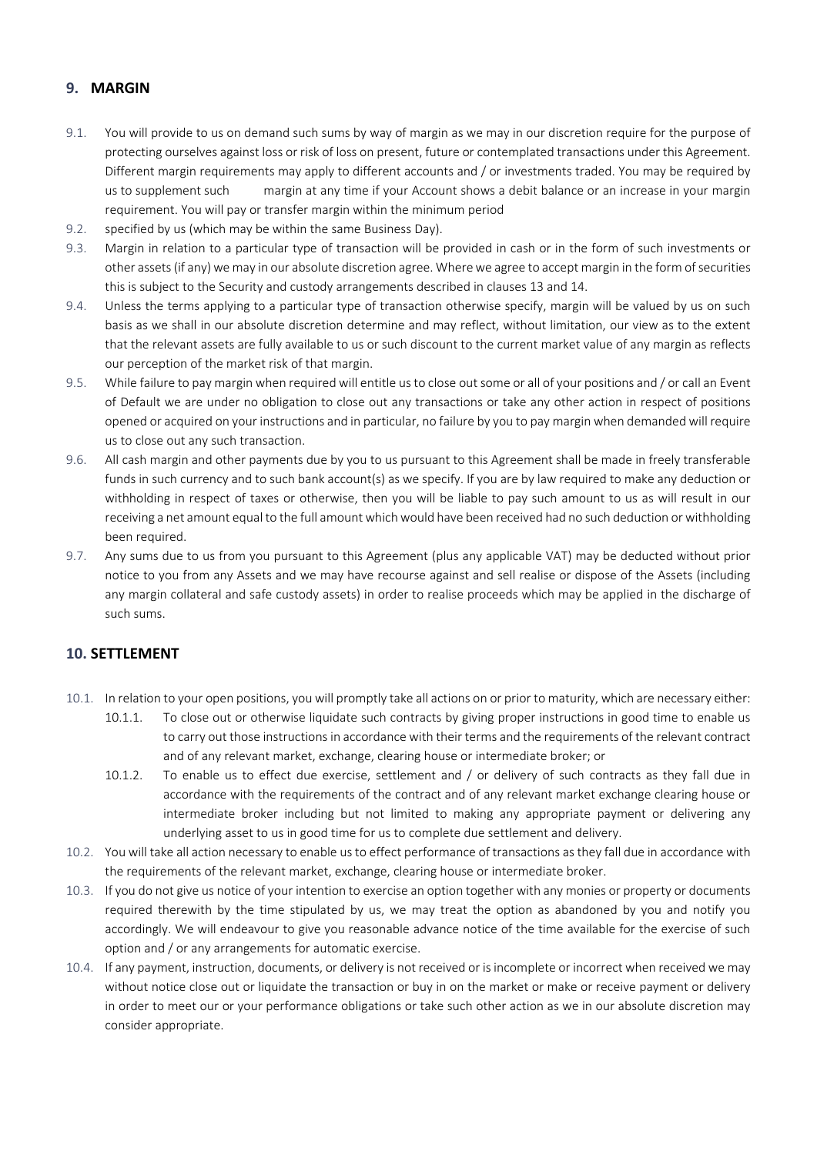## **9. MARGIN**

- 9.1. You will provide to us on demand such sums by way of margin as we may in our discretion require for the purpose of protecting ourselves against loss or risk of loss on present, future or contemplated transactions under this Agreement. Different margin requirements may apply to different accounts and / or investments traded. You may be required by us to supplement such margin at any time if your Account shows a debit balance or an increase in your margin requirement. You will pay or transfer margin within the minimum period
- 9.2. specified by us (which may be within the same Business Day).
- 9.3. Margin in relation to a particular type of transaction will be provided in cash or in the form of such investments or other assets (if any) we may in our absolute discretion agree. Where we agree to accept margin in the form of securities this is subject to the Security and custody arrangements described in clauses 13 and 14.
- 9.4. Unless the terms applying to a particular type of transaction otherwise specify, margin will be valued by us on such basis as we shall in our absolute discretion determine and may reflect, without limitation, our view as to the extent that the relevant assets are fully available to us or such discount to the current market value of any margin as reflects our perception of the market risk of that margin.
- 9.5. While failure to pay margin when required will entitle us to close out some or all of your positions and / or call an Event of Default we are under no obligation to close out any transactions or take any other action in respect of positions opened or acquired on your instructions and in particular, no failure by you to pay margin when demanded will require us to close out any such transaction.
- 9.6. All cash margin and other payments due by you to us pursuant to this Agreement shall be made in freely transferable funds in such currency and to such bank account(s) as we specify. If you are by law required to make any deduction or withholding in respect of taxes or otherwise, then you will be liable to pay such amount to us as will result in our receiving a net amount equal to the full amount which would have been received had no such deduction or withholding been required.
- 9.7. Any sums due to us from you pursuant to this Agreement (plus any applicable VAT) may be deducted without prior notice to you from any Assets and we may have recourse against and sell realise or dispose of the Assets (including any margin collateral and safe custody assets) in order to realise proceeds which may be applied in the discharge of such sums.

## **10. SETTLEMENT**

- 10.1. In relation to your open positions, you will promptly take all actions on or prior to maturity, which are necessary either:
	- 10.1.1. To close out or otherwise liquidate such contracts by giving proper instructions in good time to enable us to carry out those instructions in accordance with their terms and the requirements of the relevant contract and of any relevant market, exchange, clearing house or intermediate broker; or
	- 10.1.2. To enable us to effect due exercise, settlement and / or delivery of such contracts as they fall due in accordance with the requirements of the contract and of any relevant market exchange clearing house or intermediate broker including but not limited to making any appropriate payment or delivering any underlying asset to us in good time for us to complete due settlement and delivery.
- 10.2. You will take all action necessary to enable us to effect performance of transactions as they fall due in accordance with the requirements of the relevant market, exchange, clearing house or intermediate broker.
- 10.3. If you do not give us notice of your intention to exercise an option together with any monies or property or documents required therewith by the time stipulated by us, we may treat the option as abandoned by you and notify you accordingly. We will endeavour to give you reasonable advance notice of the time available for the exercise of such option and / or any arrangements for automatic exercise.
- 10.4. If any payment, instruction, documents, or delivery is not received or is incomplete or incorrect when received we may without notice close out or liquidate the transaction or buy in on the market or make or receive payment or delivery in order to meet our or your performance obligations or take such other action as we in our absolute discretion may consider appropriate.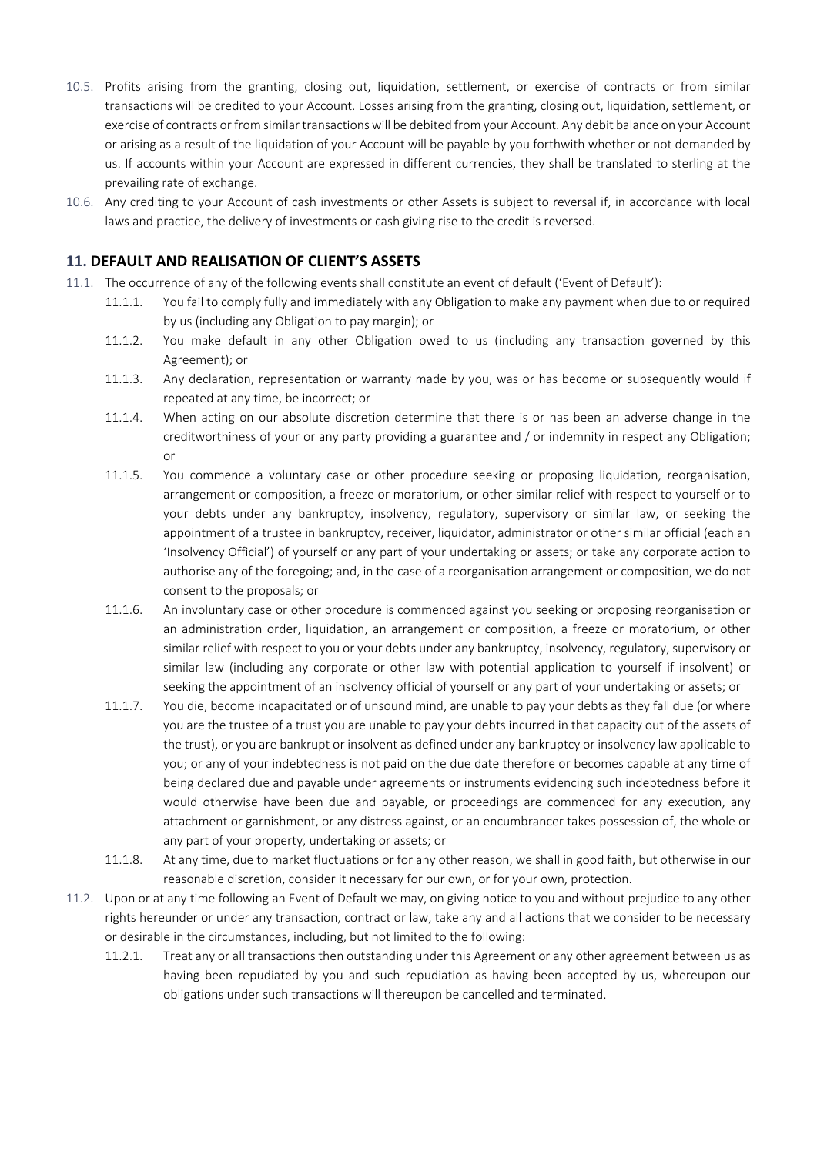- 10.5. Profits arising from the granting, closing out, liquidation, settlement, or exercise of contracts or from similar transactions will be credited to your Account. Losses arising from the granting, closing out, liquidation, settlement, or exercise of contracts or from similar transactions will be debited from your Account. Any debit balance on your Account or arising as a result of the liquidation of your Account will be payable by you forthwith whether or not demanded by us. If accounts within your Account are expressed in different currencies, they shall be translated to sterling at the prevailing rate of exchange.
- 10.6. Any crediting to your Account of cash investments or other Assets is subject to reversal if, in accordance with local laws and practice, the delivery of investments or cash giving rise to the credit is reversed.

## **11. DEFAULT AND REALISATION OF CLIENT'S ASSETS**

- 11.1. The occurrence of any of the following events shall constitute an event of default ('Event of Default'):
	- 11.1.1. You fail to comply fully and immediately with any Obligation to make any payment when due to or required by us (including any Obligation to pay margin); or
		- 11.1.2. You make default in any other Obligation owed to us (including any transaction governed by this Agreement); or
		- 11.1.3. Any declaration, representation or warranty made by you, was or has become or subsequently would if repeated at any time, be incorrect; or
		- 11.1.4. When acting on our absolute discretion determine that there is or has been an adverse change in the creditworthiness of your or any party providing a guarantee and / or indemnity in respect any Obligation; or
		- 11.1.5. You commence a voluntary case or other procedure seeking or proposing liquidation, reorganisation, arrangement or composition, a freeze or moratorium, or other similar relief with respect to yourself or to your debts under any bankruptcy, insolvency, regulatory, supervisory or similar law, or seeking the appointment of a trustee in bankruptcy, receiver, liquidator, administrator or other similar official (each an 'Insolvency Official') of yourself or any part of your undertaking or assets; or take any corporate action to authorise any of the foregoing; and, in the case of a reorganisation arrangement or composition, we do not consent to the proposals; or
		- 11.1.6. An involuntary case or other procedure is commenced against you seeking or proposing reorganisation or an administration order, liquidation, an arrangement or composition, a freeze or moratorium, or other similar relief with respect to you or your debts under any bankruptcy, insolvency, regulatory, supervisory or similar law (including any corporate or other law with potential application to yourself if insolvent) or seeking the appointment of an insolvency official of yourself or any part of your undertaking or assets; or
		- 11.1.7. You die, become incapacitated or of unsound mind, are unable to pay your debts as they fall due (or where you are the trustee of a trust you are unable to pay your debts incurred in that capacity out of the assets of the trust), or you are bankrupt or insolvent as defined under any bankruptcy or insolvency law applicable to you; or any of your indebtedness is not paid on the due date therefore or becomes capable at any time of being declared due and payable under agreements or instruments evidencing such indebtedness before it would otherwise have been due and payable, or proceedings are commenced for any execution, any attachment or garnishment, or any distress against, or an encumbrancer takes possession of, the whole or any part of your property, undertaking or assets; or
		- 11.1.8. At any time, due to market fluctuations or for any other reason, we shall in good faith, but otherwise in our reasonable discretion, consider it necessary for our own, or for your own, protection.
- 11.2. Upon or at any time following an Event of Default we may, on giving notice to you and without prejudice to any other rights hereunder or under any transaction, contract or law, take any and all actions that we consider to be necessary or desirable in the circumstances, including, but not limited to the following:
	- 11.2.1. Treat any or all transactions then outstanding under this Agreement or any other agreement between us as having been repudiated by you and such repudiation as having been accepted by us, whereupon our obligations under such transactions will thereupon be cancelled and terminated.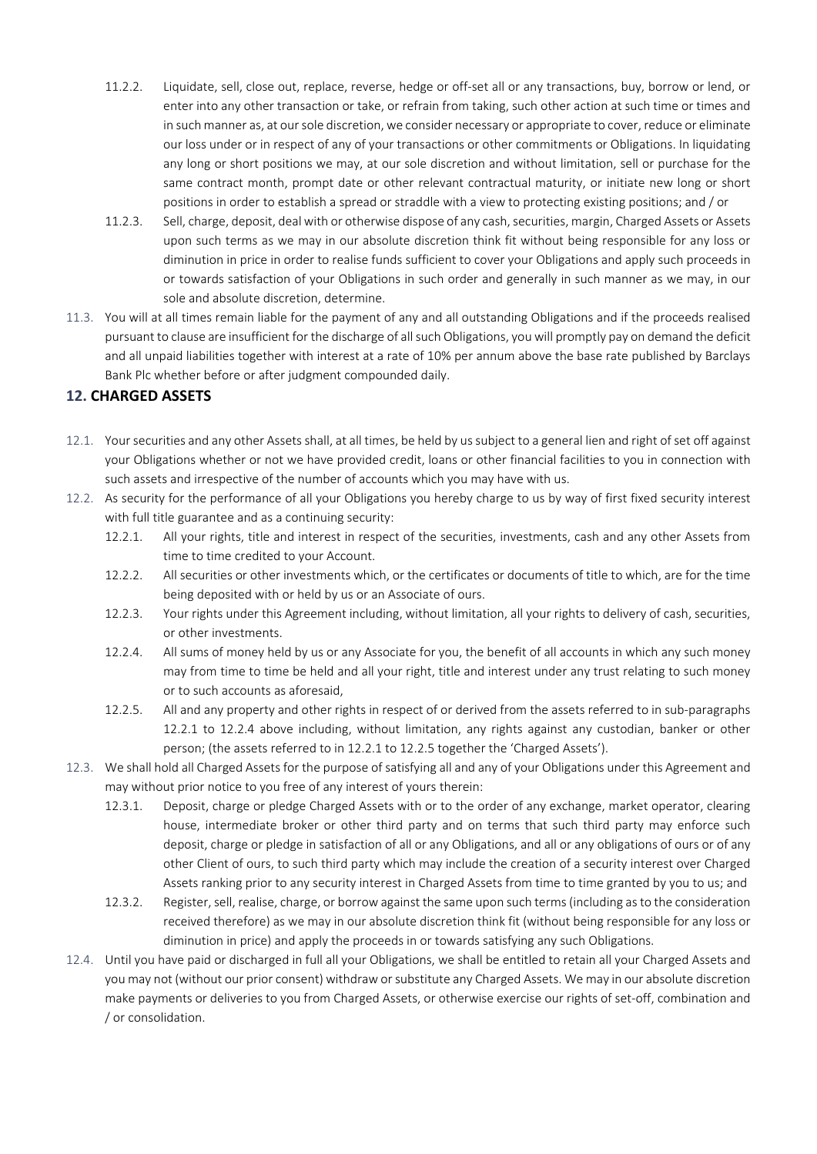- 11.2.2. Liquidate, sell, close out, replace, reverse, hedge or off-set all or any transactions, buy, borrow or lend, or enter into any other transaction or take, or refrain from taking, such other action at such time or times and in such manner as, at our sole discretion, we consider necessary or appropriate to cover, reduce or eliminate our loss under or in respect of any of your transactions or other commitments or Obligations. In liquidating any long or short positions we may, at our sole discretion and without limitation, sell or purchase for the same contract month, prompt date or other relevant contractual maturity, or initiate new long or short positions in order to establish a spread or straddle with a view to protecting existing positions; and / or
- 11.2.3. Sell, charge, deposit, deal with or otherwise dispose of any cash, securities, margin, Charged Assets or Assets upon such terms as we may in our absolute discretion think fit without being responsible for any loss or diminution in price in order to realise funds sufficient to cover your Obligations and apply such proceeds in or towards satisfaction of your Obligations in such order and generally in such manner as we may, in our sole and absolute discretion, determine.
- 11.3. You will at all times remain liable for the payment of any and all outstanding Obligations and if the proceeds realised pursuant to clause are insufficient for the discharge of all such Obligations, you will promptly pay on demand the deficit and all unpaid liabilities together with interest at a rate of 10% per annum above the base rate published by Barclays Bank Plc whether before or after judgment compounded daily.

## **12. CHARGED ASSETS**

- 12.1. Your securities and any other Assets shall, at all times, be held by us subject to a general lien and right of set off against your Obligations whether or not we have provided credit, loans or other financial facilities to you in connection with such assets and irrespective of the number of accounts which you may have with us.
- 12.2. As security for the performance of all your Obligations you hereby charge to us by way of first fixed security interest with full title guarantee and as a continuing security:
	- 12.2.1. All your rights, title and interest in respect of the securities, investments, cash and any other Assets from time to time credited to your Account.
	- 12.2.2. All securities or other investments which, or the certificates or documents of title to which, are for the time being deposited with or held by us or an Associate of ours.
	- 12.2.3. Your rights under this Agreement including, without limitation, all your rights to delivery of cash, securities, or other investments.
	- 12.2.4. All sums of money held by us or any Associate for you, the benefit of all accounts in which any such money may from time to time be held and all your right, title and interest under any trust relating to such money or to such accounts as aforesaid,
	- 12.2.5. All and any property and other rights in respect of or derived from the assets referred to in sub-paragraphs 12.2.1 to 12.2.4 above including, without limitation, any rights against any custodian, banker or other person; (the assets referred to in 12.2.1 to 12.2.5 together the 'Charged Assets').
- 12.3. We shall hold all Charged Assets for the purpose of satisfying all and any of your Obligations under this Agreement and may without prior notice to you free of any interest of yours therein:
	- 12.3.1. Deposit, charge or pledge Charged Assets with or to the order of any exchange, market operator, clearing house, intermediate broker or other third party and on terms that such third party may enforce such deposit, charge or pledge in satisfaction of all or any Obligations, and all or any obligations of ours or of any other Client of ours, to such third party which may include the creation of a security interest over Charged Assets ranking prior to any security interest in Charged Assets from time to time granted by you to us; and
	- 12.3.2. Register, sell, realise, charge, or borrow against the same upon such terms (including as to the consideration received therefore) as we may in our absolute discretion think fit (without being responsible for any loss or diminution in price) and apply the proceeds in or towards satisfying any such Obligations.
- 12.4. Until you have paid or discharged in full all your Obligations, we shall be entitled to retain all your Charged Assets and you may not (without our prior consent) withdraw or substitute any Charged Assets. We may in our absolute discretion make payments or deliveries to you from Charged Assets, or otherwise exercise our rights of set-off, combination and / or consolidation.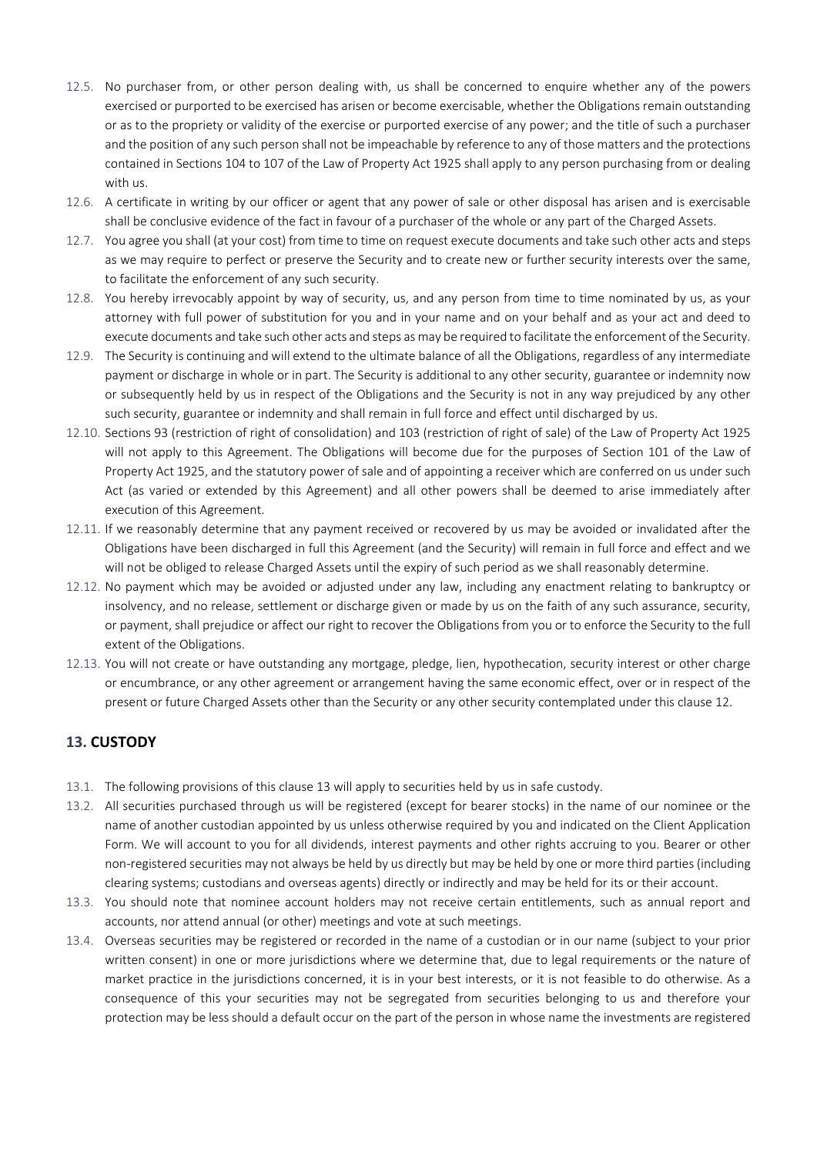- 12.5. No purchaser from, or other person dealing with, us shall be concerned to enquire whether any of the powers exercised or purported to be exercised has arisen or become exercisable, whether the Obligations remain outstanding or as to the propriety or validity of the exercise or purported exercise of any power; and the title of such a purchaser and the position of any such person shall not be impeachable by reference to any of those matters and the protections contained in Sections 104 to 107 of the Law of Property Act 1925 shall apply to any person purchasing from or dealing with us.
- 12.6. A certificate in writing by our officer or agent that any power of sale or other disposal has arisen and is exercisable shall be conclusive evidence of the fact in favour of a purchaser of the whole or any part of the Charged Assets.
- 12.7. You agree you shall (at your cost) from time to time on request execute documents and take such other acts and steps as we may require to perfect or preserve the Security and to create new or further security interests over the same, to facilitate the enforcement of any such security.
- 12.8. You hereby irrevocably appoint by way of security, us, and any person from time to time nominated by us, as your attorney with full power of substitution for you and in your name and on your behalf and as your act and deed to execute documents and take such other acts and steps as may be required to facilitate the enforcement of the Security.
- 12.9. The Security is continuing and will extend to the ultimate balance of all the Obligations, regardless of any intermediate payment or discharge in whole or in part. The Security is additional to any other security, guarantee or indemnity now or subsequently held by us in respect of the Obligations and the Security is not in any way prejudiced by any other such security, guarantee or indemnity and shall remain in full force and effect until discharged by us.
- 12.10. Sections 93 (restriction of right of consolidation) and 103 (restriction of right of sale) of the Law of Property Act 1925 will not apply to this Agreement. The Obligations will become due for the purposes of Section 101 of the Law of Property Act 1925, and the statutory power of sale and of appointing a receiver which are conferred on us under such Act (as varied or extended by this Agreement) and all other powers shall be deemed to arise immediately after execution of this Agreement.
- 12.11. If we reasonably determine that any payment received or recovered by us may be avoided or invalidated after the Obligations have been discharged in full this Agreement (and the Security) will remain in full force and effect and we will not be obliged to release Charged Assets until the expiry of such period as we shall reasonably determine.
- 12.12. No payment which may be avoided or adjusted under any law, including any enactment relating to bankruptcy or insolvency, and no release, settlement or discharge given or made by us on the faith of any such assurance, security, or payment, shall prejudice or affect our right to recover the Obligations from you or to enforce the Security to the full extent of the Obligations.
- 12.13. You will not create or have outstanding any mortgage, pledge, lien, hypothecation, security interest or other charge or encumbrance, or any other agreement or arrangement having the same economic effect, over or in respect of the present or future Charged Assets other than the Security or any other security contemplated under this clause 12.

## **13. CUSTODY**

- 13.1. The following provisions of this clause 13 will apply to securities held by us in safe custody.
- 13.2. All securities purchased through us will be registered (except for bearer stocks) in the name of our nominee or the name of another custodian appointed by us unless otherwise required by you and indicated on the Client Application Form. We will account to you for all dividends, interest payments and other rights accruing to you. Bearer or other non-registered securities may not always be held by us directly but may be held by one or more third parties (including clearing systems; custodians and overseas agents) directly or indirectly and may be held for its or their account.
- 13.3. You should note that nominee account holders may not receive certain entitlements, such as annual report and accounts, nor attend annual (or other) meetings and vote at such meetings.
- 13.4. Overseas securities may be registered or recorded in the name of a custodian or in our name (subject to your prior written consent) in one or more jurisdictions where we determine that, due to legal requirements or the nature of market practice in the jurisdictions concerned, it is in your best interests, or it is not feasible to do otherwise. As a consequence of this your securities may not be segregated from securities belonging to us and therefore your protection may be less should a default occur on the part of the person in whose name the investments are registered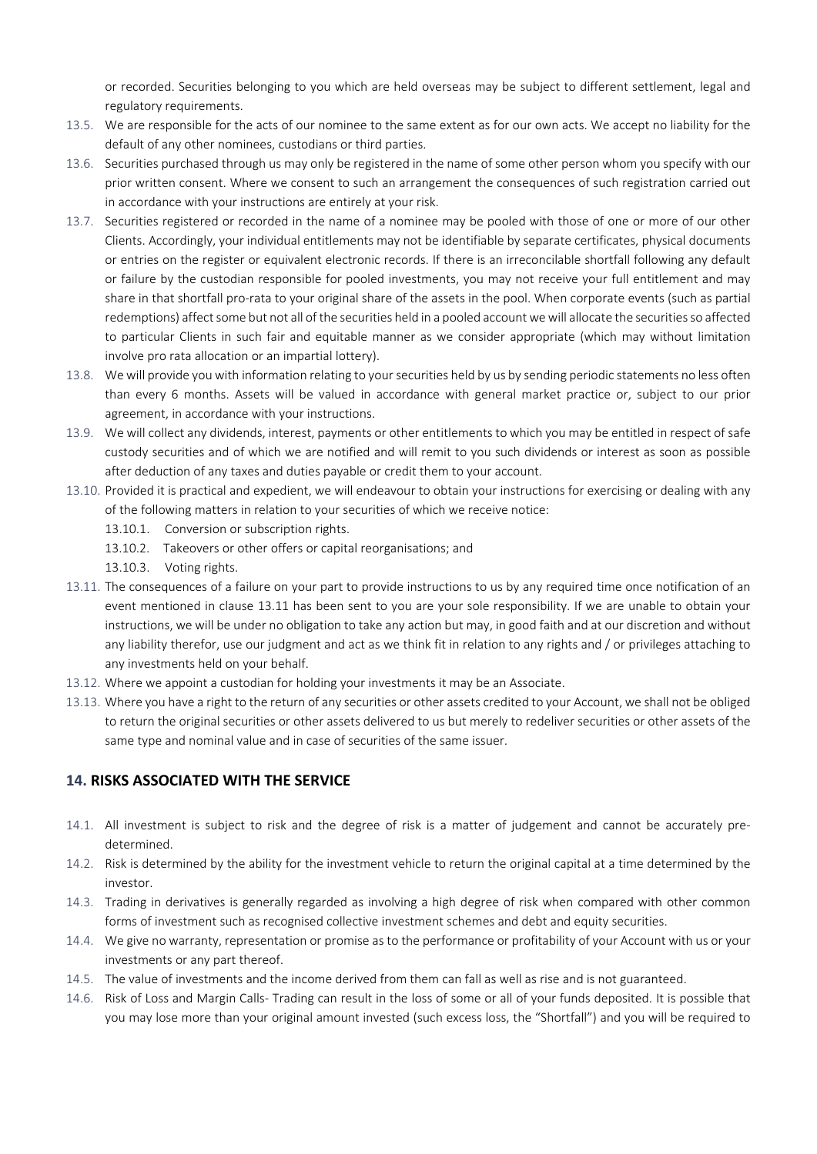or recorded. Securities belonging to you which are held overseas may be subject to different settlement, legal and regulatory requirements.

- 13.5. We are responsible for the acts of our nominee to the same extent as for our own acts. We accept no liability for the default of any other nominees, custodians or third parties.
- 13.6. Securities purchased through us may only be registered in the name of some other person whom you specify with our prior written consent. Where we consent to such an arrangement the consequences of such registration carried out in accordance with your instructions are entirely at your risk.
- 13.7. Securities registered or recorded in the name of a nominee may be pooled with those of one or more of our other Clients. Accordingly, your individual entitlements may not be identifiable by separate certificates, physical documents or entries on the register or equivalent electronic records. If there is an irreconcilable shortfall following any default or failure by the custodian responsible for pooled investments, you may not receive your full entitlement and may share in that shortfall pro-rata to your original share of the assets in the pool. When corporate events (such as partial redemptions) affect some but not all of the securities held in a pooled account we will allocate the securities so affected to particular Clients in such fair and equitable manner as we consider appropriate (which may without limitation involve pro rata allocation or an impartial lottery).
- 13.8. We will provide you with information relating to your securities held by us by sending periodic statements no less often than every 6 months. Assets will be valued in accordance with general market practice or, subject to our prior agreement, in accordance with your instructions.
- 13.9. We will collect any dividends, interest, payments or other entitlements to which you may be entitled in respect of safe custody securities and of which we are notified and will remit to you such dividends or interest as soon as possible after deduction of any taxes and duties payable or credit them to your account.
- 13.10. Provided it is practical and expedient, we will endeavour to obtain your instructions for exercising or dealing with any of the following matters in relation to your securities of which we receive notice:
	- 13.10.1. Conversion or subscription rights.
	- 13.10.2. Takeovers or other offers or capital reorganisations; and

13.10.3. Voting rights.

- 13.11. The consequences of a failure on your part to provide instructions to us by any required time once notification of an event mentioned in clause 13.11 has been sent to you are your sole responsibility. If we are unable to obtain your instructions, we will be under no obligation to take any action but may, in good faith and at our discretion and without any liability therefor, use our judgment and act as we think fit in relation to any rights and / or privileges attaching to any investments held on your behalf.
- 13.12. Where we appoint a custodian for holding your investments it may be an Associate.
- 13.13. Where you have a right to the return of any securities or other assets credited to your Account, we shall not be obliged to return the original securities or other assets delivered to us but merely to redeliver securities or other assets of the same type and nominal value and in case of securities of the same issuer.

# **14. RISKS ASSOCIATED WITH THE SERVICE**

- 14.1. All investment is subject to risk and the degree of risk is a matter of judgement and cannot be accurately predetermined.
- 14.2. Risk is determined by the ability for the investment vehicle to return the original capital at a time determined by the investor.
- 14.3. Trading in derivatives is generally regarded as involving a high degree of risk when compared with other common forms of investment such as recognised collective investment schemes and debt and equity securities.
- 14.4. We give no warranty, representation or promise as to the performance or profitability of your Account with us or your investments or any part thereof.
- 14.5. The value of investments and the income derived from them can fall as well as rise and is not guaranteed.
- 14.6. Risk of Loss and Margin Calls- Trading can result in the loss of some or all of your funds deposited. It is possible that you may lose more than your original amount invested (such excess loss, the "Shortfall") and you will be required to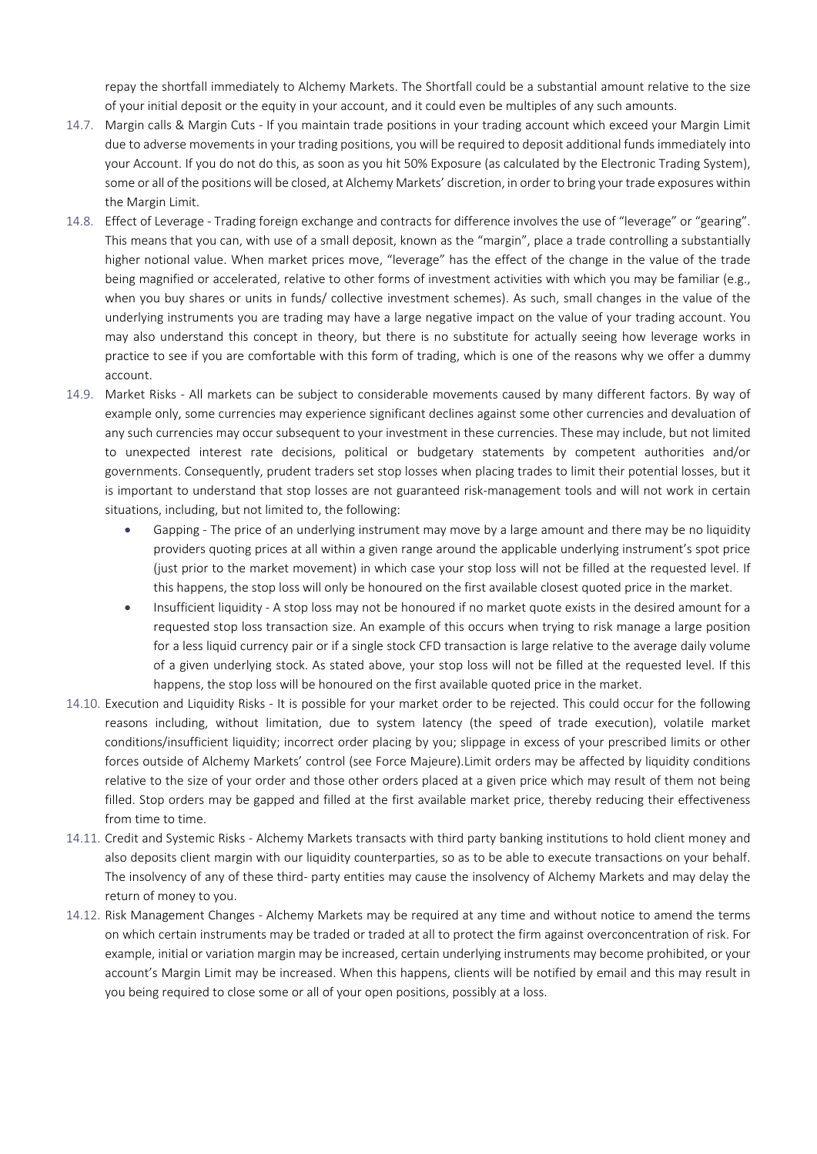repay the shortfall immediately to Alchemy Markets. The Shortfall could be a substantial amount relative to the size of your initial deposit or the equity in your account, and it could even be multiples of any such amounts.

- 14.7. Margin calls & Margin Cuts If you maintain trade positions in your trading account which exceed your Margin Limit due to adverse movements in your trading positions, you will be required to deposit additional funds immediately into your Account. If you do not do this, as soon as you hit 50% Exposure (as calculated by the Electronic Trading System), some or all of the positions will be closed, at Alchemy Markets' discretion, in order to bring your trade exposures within the Margin Limit.
- 14.8. Effect of Leverage Trading foreign exchange and contracts for difference involves the use of "leverage" or "gearing". This means that you can, with use of a small deposit, known as the "margin", place a trade controlling a substantially higher notional value. When market prices move, "leverage" has the effect of the change in the value of the trade being magnified or accelerated, relative to other forms of investment activities with which you may be familiar (e.g., when you buy shares or units in funds/ collective investment schemes). As such, small changes in the value of the underlying instruments you are trading may have a large negative impact on the value of your trading account. You may also understand this concept in theory, but there is no substitute for actually seeing how leverage works in practice to see if you are comfortable with this form of trading, which is one of the reasons why we offer a dummy account.
- 14.9. Market Risks All markets can be subject to considerable movements caused by many different factors. By way of example only, some currencies may experience significant declines against some other currencies and devaluation of any such currencies may occur subsequent to your investment in these currencies. These may include, but not limited to unexpected interest rate decisions, political or budgetary statements by competent authorities and/or governments. Consequently, prudent traders set stop losses when placing trades to limit their potential losses, but it is important to understand that stop losses are not guaranteed risk-management tools and will not work in certain situations, including, but not limited to, the following:
	- Gapping The price of an underlying instrument may move by a large amount and there may be no liquidity providers quoting prices at all within a given range around the applicable underlying instrument's spot price (just prior to the market movement) in which case your stop loss will not be filled at the requested level. If this happens, the stop loss will only be honoured on the first available closest quoted price in the market.
	- Insufficient liquidity A stop loss may not be honoured if no market quote exists in the desired amount for a requested stop loss transaction size. An example of this occurs when trying to risk manage a large position for a less liquid currency pair or if a single stock CFD transaction is large relative to the average daily volume of a given underlying stock. As stated above, your stop loss will not be filled at the requested level. If this happens, the stop loss will be honoured on the first available quoted price in the market.
- 14.10. Execution and Liquidity Risks It is possible for your market order to be rejected. This could occur for the following reasons including, without limitation, due to system latency (the speed of trade execution), volatile market conditions/insufficient liquidity; incorrect order placing by you; slippage in excess of your prescribed limits or other forces outside of Alchemy Markets' control (see Force Majeure).Limit orders may be affected by liquidity conditions relative to the size of your order and those other orders placed at a given price which may result of them not being filled. Stop orders may be gapped and filled at the first available market price, thereby reducing their effectiveness from time to time.
- 14.11. Credit and Systemic Risks Alchemy Markets transacts with third party banking institutions to hold client money and also deposits client margin with our liquidity counterparties, so as to be able to execute transactions on your behalf. The insolvency of any of these third- party entities may cause the insolvency of Alchemy Markets and may delay the return of money to you.
- 14.12. Risk Management Changes Alchemy Markets may be required at any time and without notice to amend the terms on which certain instruments may be traded or traded at all to protect the firm against overconcentration of risk. For example, initial or variation margin may be increased, certain underlying instruments may become prohibited, or your account's Margin Limit may be increased. When this happens, clients will be notified by email and this may result in you being required to close some or all of your open positions, possibly at a loss.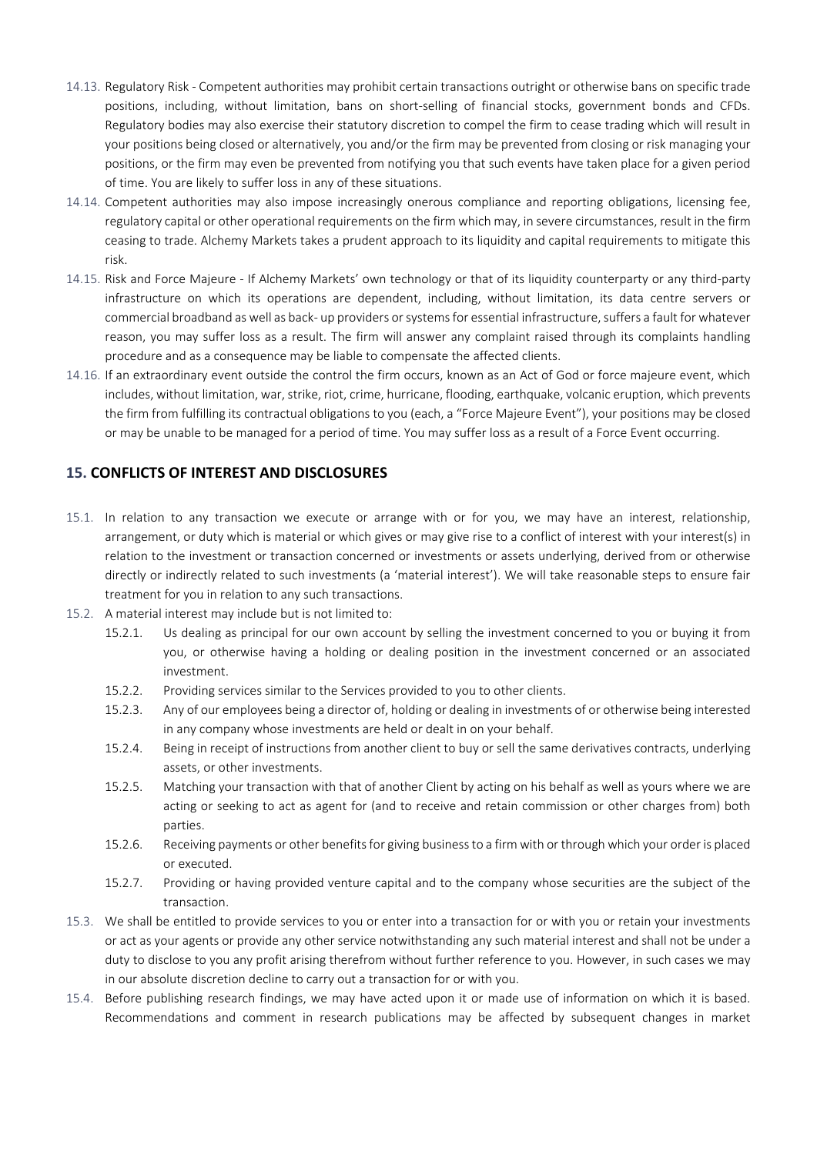- 14.13. Regulatory Risk Competent authorities may prohibit certain transactions outright or otherwise bans on specific trade positions, including, without limitation, bans on short-selling of financial stocks, government bonds and CFDs. Regulatory bodies may also exercise their statutory discretion to compel the firm to cease trading which will result in your positions being closed or alternatively, you and/or the firm may be prevented from closing or risk managing your positions, or the firm may even be prevented from notifying you that such events have taken place for a given period of time. You are likely to suffer loss in any of these situations.
- 14.14. Competent authorities may also impose increasingly onerous compliance and reporting obligations, licensing fee, regulatory capital or other operational requirements on the firm which may, in severe circumstances, result in the firm ceasing to trade. Alchemy Markets takes a prudent approach to its liquidity and capital requirements to mitigate this risk.
- 14.15. Risk and Force Majeure If Alchemy Markets' own technology or that of its liquidity counterparty or any third-party infrastructure on which its operations are dependent, including, without limitation, its data centre servers or commercial broadband as well as back- up providers or systems for essential infrastructure, suffers a fault for whatever reason, you may suffer loss as a result. The firm will answer any complaint raised through its complaints handling procedure and as a consequence may be liable to compensate the affected clients.
- 14.16. If an extraordinary event outside the control the firm occurs, known as an Act of God or force majeure event, which includes, without limitation, war, strike, riot, crime, hurricane, flooding, earthquake, volcanic eruption, which prevents the firm from fulfilling its contractual obligations to you (each, a "Force Majeure Event"), your positions may be closed or may be unable to be managed for a period of time. You may suffer loss as a result of a Force Event occurring.

# **15. CONFLICTS OF INTEREST AND DISCLOSURES**

- 15.1. In relation to any transaction we execute or arrange with or for you, we may have an interest, relationship, arrangement, or duty which is material or which gives or may give rise to a conflict of interest with your interest(s) in relation to the investment or transaction concerned or investments or assets underlying, derived from or otherwise directly or indirectly related to such investments (a 'material interest'). We will take reasonable steps to ensure fair treatment for you in relation to any such transactions.
- 15.2. A material interest may include but is not limited to:
	- 15.2.1. Us dealing as principal for our own account by selling the investment concerned to you or buying it from you, or otherwise having a holding or dealing position in the investment concerned or an associated investment.
	- 15.2.2. Providing services similar to the Services provided to you to other clients.
	- 15.2.3. Any of our employees being a director of, holding or dealing in investments of or otherwise being interested in any company whose investments are held or dealt in on your behalf.
	- 15.2.4. Being in receipt of instructions from another client to buy or sell the same derivatives contracts, underlying assets, or other investments.
	- 15.2.5. Matching your transaction with that of another Client by acting on his behalf as well as yours where we are acting or seeking to act as agent for (and to receive and retain commission or other charges from) both parties.
	- 15.2.6. Receiving payments or other benefits for giving business to a firm with or through which your order is placed or executed.
	- 15.2.7. Providing or having provided venture capital and to the company whose securities are the subject of the transaction.
- 15.3. We shall be entitled to provide services to you or enter into a transaction for or with you or retain your investments or act as your agents or provide any other service notwithstanding any such material interest and shall not be under a duty to disclose to you any profit arising therefrom without further reference to you. However, in such cases we may in our absolute discretion decline to carry out a transaction for or with you.
- 15.4. Before publishing research findings, we may have acted upon it or made use of information on which it is based. Recommendations and comment in research publications may be affected by subsequent changes in market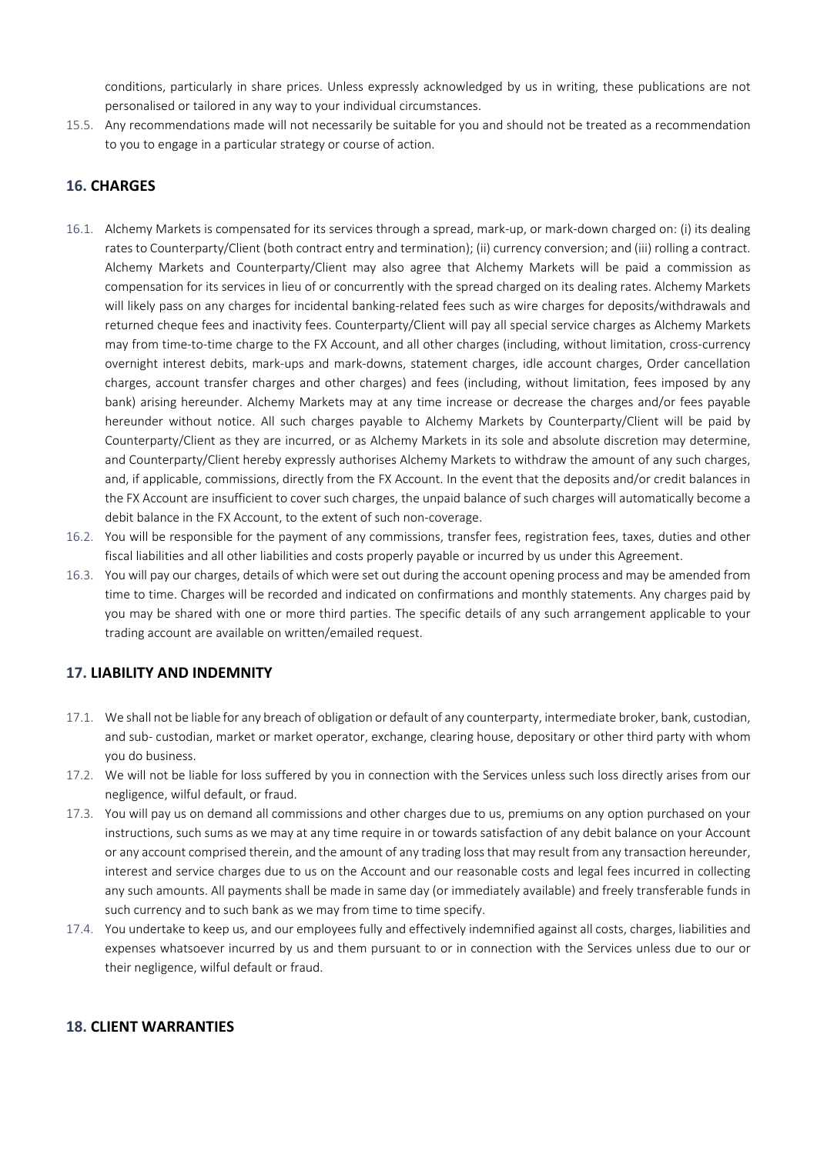conditions, particularly in share prices. Unless expressly acknowledged by us in writing, these publications are not personalised or tailored in any way to your individual circumstances.

15.5. Any recommendations made will not necessarily be suitable for you and should not be treated as a recommendation to you to engage in a particular strategy or course of action.

### **16. CHARGES**

- 16.1. Alchemy Markets is compensated for its services through a spread, mark-up, or mark-down charged on: (i) its dealing rates to Counterparty/Client (both contract entry and termination); (ii) currency conversion; and (iii) rolling a contract. Alchemy Markets and Counterparty/Client may also agree that Alchemy Markets will be paid a commission as compensation for its services in lieu of or concurrently with the spread charged on its dealing rates. Alchemy Markets will likely pass on any charges for incidental banking-related fees such as wire charges for deposits/withdrawals and returned cheque fees and inactivity fees. Counterparty/Client will pay all special service charges as Alchemy Markets may from time-to-time charge to the FX Account, and all other charges (including, without limitation, cross-currency overnight interest debits, mark-ups and mark-downs, statement charges, idle account charges, Order cancellation charges, account transfer charges and other charges) and fees (including, without limitation, fees imposed by any bank) arising hereunder. Alchemy Markets may at any time increase or decrease the charges and/or fees payable hereunder without notice. All such charges payable to Alchemy Markets by Counterparty/Client will be paid by Counterparty/Client as they are incurred, or as Alchemy Markets in its sole and absolute discretion may determine, and Counterparty/Client hereby expressly authorises Alchemy Markets to withdraw the amount of any such charges, and, if applicable, commissions, directly from the FX Account. In the event that the deposits and/or credit balances in the FX Account are insufficient to cover such charges, the unpaid balance of such charges will automatically become a debit balance in the FX Account, to the extent of such non-coverage.
- 16.2. You will be responsible for the payment of any commissions, transfer fees, registration fees, taxes, duties and other fiscal liabilities and all other liabilities and costs properly payable or incurred by us under this Agreement.
- 16.3. You will pay our charges, details of which were set out during the account opening process and may be amended from time to time. Charges will be recorded and indicated on confirmations and monthly statements. Any charges paid by you may be shared with one or more third parties. The specific details of any such arrangement applicable to your trading account are available on written/emailed request.

#### **17. LIABILITY AND INDEMNITY**

- 17.1. We shall not be liable for any breach of obligation or default of any counterparty, intermediate broker, bank, custodian, and sub- custodian, market or market operator, exchange, clearing house, depositary or other third party with whom you do business.
- 17.2. We will not be liable for loss suffered by you in connection with the Services unless such loss directly arises from our negligence, wilful default, or fraud.
- 17.3. You will pay us on demand all commissions and other charges due to us, premiums on any option purchased on your instructions, such sums as we may at any time require in or towards satisfaction of any debit balance on your Account or any account comprised therein, and the amount of any trading loss that may result from any transaction hereunder, interest and service charges due to us on the Account and our reasonable costs and legal fees incurred in collecting any such amounts. All payments shall be made in same day (or immediately available) and freely transferable funds in such currency and to such bank as we may from time to time specify.
- 17.4. You undertake to keep us, and our employees fully and effectively indemnified against all costs, charges, liabilities and expenses whatsoever incurred by us and them pursuant to or in connection with the Services unless due to our or their negligence, wilful default or fraud.

#### **18. CLIENT WARRANTIES**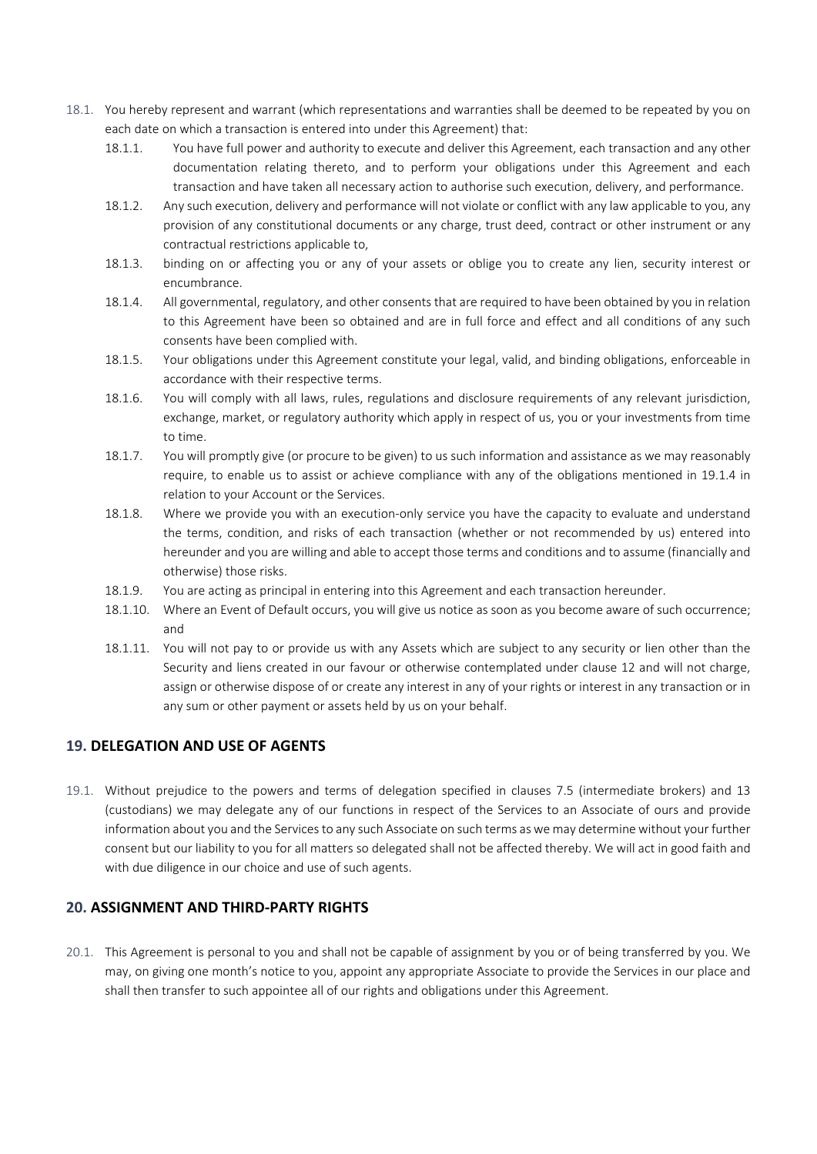- 18.1. You hereby represent and warrant (which representations and warranties shall be deemed to be repeated by you on each date on which a transaction is entered into under this Agreement) that:
	- 18.1.1. You have full power and authority to execute and deliver this Agreement, each transaction and any other documentation relating thereto, and to perform your obligations under this Agreement and each transaction and have taken all necessary action to authorise such execution, delivery, and performance.
	- 18.1.2. Any such execution, delivery and performance will not violate or conflict with any law applicable to you, any provision of any constitutional documents or any charge, trust deed, contract or other instrument or any contractual restrictions applicable to,
	- 18.1.3. binding on or affecting you or any of your assets or oblige you to create any lien, security interest or encumbrance.
	- 18.1.4. All governmental, regulatory, and other consents that are required to have been obtained by you in relation to this Agreement have been so obtained and are in full force and effect and all conditions of any such consents have been complied with.
	- 18.1.5. Your obligations under this Agreement constitute your legal, valid, and binding obligations, enforceable in accordance with their respective terms.
	- 18.1.6. You will comply with all laws, rules, regulations and disclosure requirements of any relevant jurisdiction, exchange, market, or regulatory authority which apply in respect of us, you or your investments from time to time.
	- 18.1.7. You will promptly give (or procure to be given) to us such information and assistance as we may reasonably require, to enable us to assist or achieve compliance with any of the obligations mentioned in 19.1.4 in relation to your Account or the Services.
	- 18.1.8. Where we provide you with an execution-only service you have the capacity to evaluate and understand the terms, condition, and risks of each transaction (whether or not recommended by us) entered into hereunder and you are willing and able to accept those terms and conditions and to assume (financially and otherwise) those risks.
	- 18.1.9. You are acting as principal in entering into this Agreement and each transaction hereunder.
	- 18.1.10. Where an Event of Default occurs, you will give us notice as soon as you become aware of such occurrence; and
	- 18.1.11. You will not pay to or provide us with any Assets which are subject to any security or lien other than the Security and liens created in our favour or otherwise contemplated under clause 12 and will not charge, assign or otherwise dispose of or create any interest in any of your rights or interest in any transaction or in any sum or other payment or assets held by us on your behalf.

# **19. DELEGATION AND USE OF AGENTS**

19.1. Without prejudice to the powers and terms of delegation specified in clauses 7.5 (intermediate brokers) and 13 (custodians) we may delegate any of our functions in respect of the Services to an Associate of ours and provide information about you and the Services to any such Associate on such terms as we may determine without your further consent but our liability to you for all matters so delegated shall not be affected thereby. We will act in good faith and with due diligence in our choice and use of such agents.

# **20. ASSIGNMENT AND THIRD-PARTY RIGHTS**

20.1. This Agreement is personal to you and shall not be capable of assignment by you or of being transferred by you. We may, on giving one month's notice to you, appoint any appropriate Associate to provide the Services in our place and shall then transfer to such appointee all of our rights and obligations under this Agreement.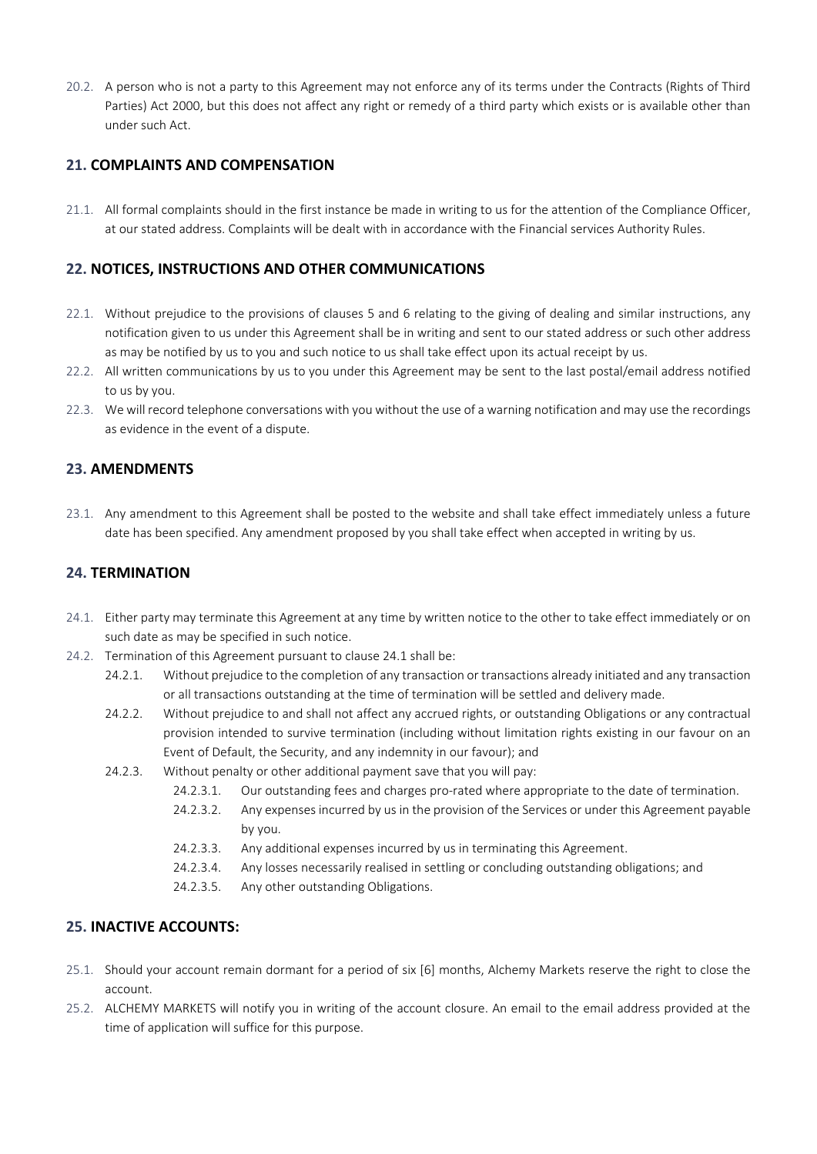20.2. A person who is not a party to this Agreement may not enforce any of its terms under the Contracts (Rights of Third Parties) Act 2000, but this does not affect any right or remedy of a third party which exists or is available other than under such Act.

## **21. COMPLAINTS AND COMPENSATION**

21.1. All formal complaints should in the first instance be made in writing to us for the attention of the Compliance Officer, at our stated address. Complaints will be dealt with in accordance with the Financial services Authority Rules.

## **22. NOTICES, INSTRUCTIONS AND OTHER COMMUNICATIONS**

- 22.1. Without prejudice to the provisions of clauses 5 and 6 relating to the giving of dealing and similar instructions, any notification given to us under this Agreement shall be in writing and sent to our stated address or such other address as may be notified by us to you and such notice to us shall take effect upon its actual receipt by us.
- 22.2. All written communications by us to you under this Agreement may be sent to the last postal/email address notified to us by you.
- 22.3. We will record telephone conversations with you without the use of a warning notification and may use the recordings as evidence in the event of a dispute.

### **23. AMENDMENTS**

23.1. Any amendment to this Agreement shall be posted to the website and shall take effect immediately unless a future date has been specified. Any amendment proposed by you shall take effect when accepted in writing by us.

### **24. TERMINATION**

- 24.1. Either party may terminate this Agreement at any time by written notice to the other to take effect immediately or on such date as may be specified in such notice.
- 24.2. Termination of this Agreement pursuant to clause 24.1 shall be:
	- 24.2.1. Without prejudice to the completion of any transaction or transactions already initiated and any transaction or all transactions outstanding at the time of termination will be settled and delivery made.
	- 24.2.2. Without prejudice to and shall not affect any accrued rights, or outstanding Obligations or any contractual provision intended to survive termination (including without limitation rights existing in our favour on an Event of Default, the Security, and any indemnity in our favour); and
	- 24.2.3. Without penalty or other additional payment save that you will pay:
		- 24.2.3.1. Our outstanding fees and charges pro-rated where appropriate to the date of termination.
		- 24.2.3.2. Any expenses incurred by us in the provision of the Services or under this Agreement payable by you.
		- 24.2.3.3. Any additional expenses incurred by us in terminating this Agreement.
		- 24.2.3.4. Any losses necessarily realised in settling or concluding outstanding obligations; and
		- 24.2.3.5. Any other outstanding Obligations.

## **25. INACTIVE ACCOUNTS:**

- 25.1. Should your account remain dormant for a period of six [6] months, Alchemy Markets reserve the right to close the account.
- 25.2. ALCHEMY MARKETS will notify you in writing of the account closure. An email to the email address provided at the time of application will suffice for this purpose.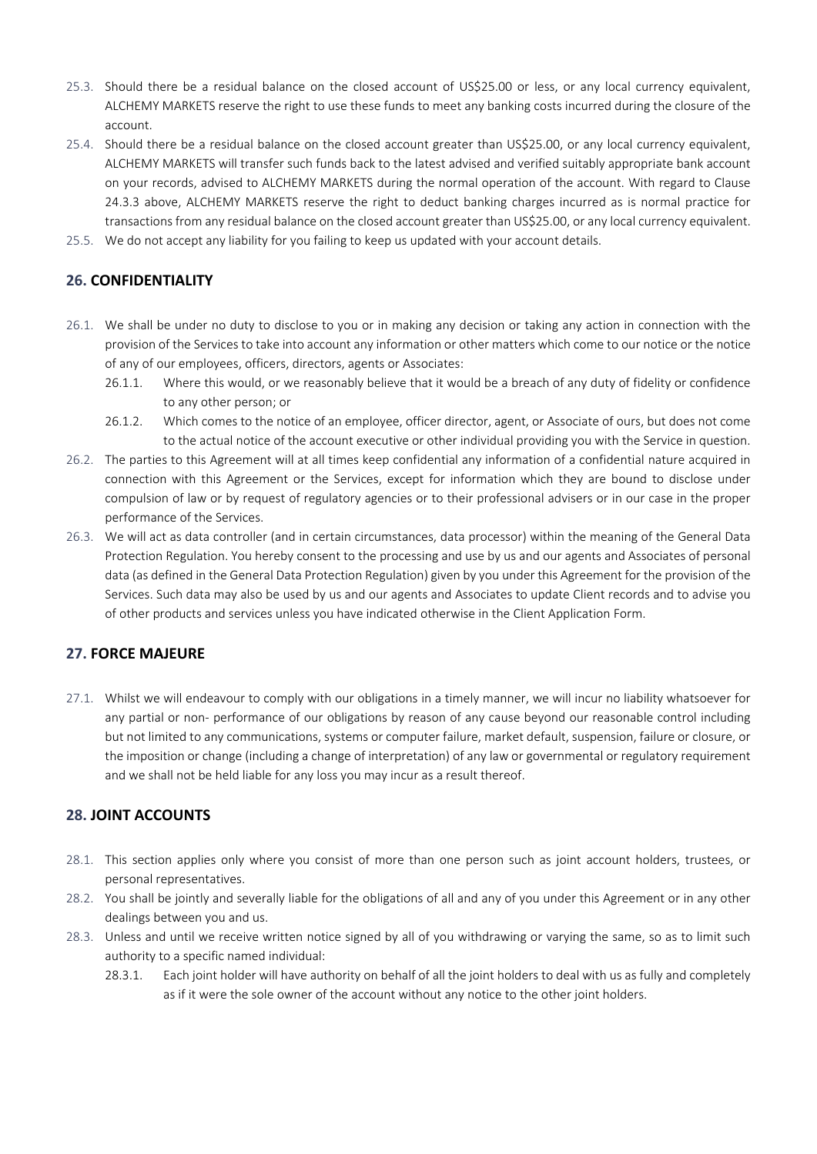- 25.3. Should there be a residual balance on the closed account of US\$25.00 or less, or any local currency equivalent, ALCHEMY MARKETS reserve the right to use these funds to meet any banking costs incurred during the closure of the account.
- 25.4. Should there be a residual balance on the closed account greater than US\$25.00, or any local currency equivalent, ALCHEMY MARKETS will transfer such funds back to the latest advised and verified suitably appropriate bank account on your records, advised to ALCHEMY MARKETS during the normal operation of the account. With regard to Clause 24.3.3 above, ALCHEMY MARKETS reserve the right to deduct banking charges incurred as is normal practice for transactions from any residual balance on the closed account greater than US\$25.00, or any local currency equivalent.
- 25.5. We do not accept any liability for you failing to keep us updated with your account details.

# **26. CONFIDENTIALITY**

- 26.1. We shall be under no duty to disclose to you or in making any decision or taking any action in connection with the provision of the Services to take into account any information or other matters which come to our notice or the notice of any of our employees, officers, directors, agents or Associates:
	- 26.1.1. Where this would, or we reasonably believe that it would be a breach of any duty of fidelity or confidence to any other person; or
	- 26.1.2. Which comes to the notice of an employee, officer director, agent, or Associate of ours, but does not come to the actual notice of the account executive or other individual providing you with the Service in question.
- 26.2. The parties to this Agreement will at all times keep confidential any information of a confidential nature acquired in connection with this Agreement or the Services, except for information which they are bound to disclose under compulsion of law or by request of regulatory agencies or to their professional advisers or in our case in the proper performance of the Services.
- 26.3. We will act as data controller (and in certain circumstances, data processor) within the meaning of the General Data Protection Regulation. You hereby consent to the processing and use by us and our agents and Associates of personal data (as defined in the General Data Protection Regulation) given by you under this Agreement for the provision of the Services. Such data may also be used by us and our agents and Associates to update Client records and to advise you of other products and services unless you have indicated otherwise in the Client Application Form.

# **27. FORCE MAJEURE**

27.1. Whilst we will endeavour to comply with our obligations in a timely manner, we will incur no liability whatsoever for any partial or non- performance of our obligations by reason of any cause beyond our reasonable control including but not limited to any communications, systems or computer failure, market default, suspension, failure or closure, or the imposition or change (including a change of interpretation) of any law or governmental or regulatory requirement and we shall not be held liable for any loss you may incur as a result thereof.

## **28. JOINT ACCOUNTS**

- 28.1. This section applies only where you consist of more than one person such as joint account holders, trustees, or personal representatives.
- 28.2. You shall be jointly and severally liable for the obligations of all and any of you under this Agreement or in any other dealings between you and us.
- 28.3. Unless and until we receive written notice signed by all of you withdrawing or varying the same, so as to limit such authority to a specific named individual:
	- 28.3.1. Each joint holder will have authority on behalf of all the joint holders to deal with us as fully and completely as if it were the sole owner of the account without any notice to the other joint holders.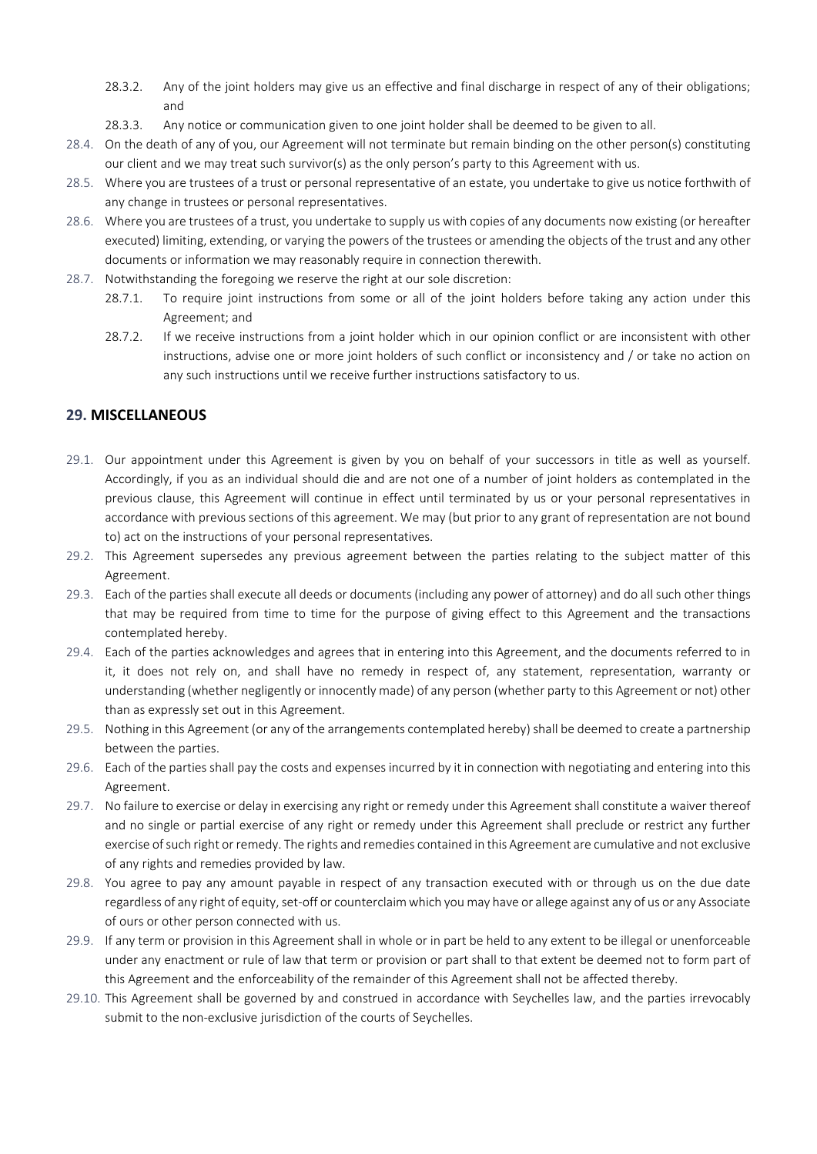- 28.3.2. Any of the joint holders may give us an effective and final discharge in respect of any of their obligations; and
- 28.3.3. Any notice or communication given to one joint holder shall be deemed to be given to all.
- 28.4. On the death of any of you, our Agreement will not terminate but remain binding on the other person(s) constituting our client and we may treat such survivor(s) as the only person's party to this Agreement with us.
- 28.5. Where you are trustees of a trust or personal representative of an estate, you undertake to give us notice forthwith of any change in trustees or personal representatives.
- 28.6. Where you are trustees of a trust, you undertake to supply us with copies of any documents now existing (or hereafter executed) limiting, extending, or varying the powers of the trustees or amending the objects of the trust and any other documents or information we may reasonably require in connection therewith.
- 28.7. Notwithstanding the foregoing we reserve the right at our sole discretion:
	- 28.7.1. To require joint instructions from some or all of the joint holders before taking any action under this Agreement; and
	- 28.7.2. If we receive instructions from a joint holder which in our opinion conflict or are inconsistent with other instructions, advise one or more joint holders of such conflict or inconsistency and / or take no action on any such instructions until we receive further instructions satisfactory to us.

### **29. MISCELLANEOUS**

- 29.1. Our appointment under this Agreement is given by you on behalf of your successors in title as well as yourself. Accordingly, if you as an individual should die and are not one of a number of joint holders as contemplated in the previous clause, this Agreement will continue in effect until terminated by us or your personal representatives in accordance with previous sections of this agreement. We may (but prior to any grant of representation are not bound to) act on the instructions of your personal representatives.
- 29.2. This Agreement supersedes any previous agreement between the parties relating to the subject matter of this Agreement.
- 29.3. Each of the parties shall execute all deeds or documents (including any power of attorney) and do all such other things that may be required from time to time for the purpose of giving effect to this Agreement and the transactions contemplated hereby.
- 29.4. Each of the parties acknowledges and agrees that in entering into this Agreement, and the documents referred to in it, it does not rely on, and shall have no remedy in respect of, any statement, representation, warranty or understanding (whether negligently or innocently made) of any person (whether party to this Agreement or not) other than as expressly set out in this Agreement.
- 29.5. Nothing in this Agreement (or any of the arrangements contemplated hereby) shall be deemed to create a partnership between the parties.
- 29.6. Each of the parties shall pay the costs and expenses incurred by it in connection with negotiating and entering into this Agreement.
- 29.7. No failure to exercise or delay in exercising any right or remedy under this Agreement shall constitute a waiver thereof and no single or partial exercise of any right or remedy under this Agreement shall preclude or restrict any further exercise of such right or remedy. The rights and remedies contained in this Agreement are cumulative and not exclusive of any rights and remedies provided by law.
- 29.8. You agree to pay any amount payable in respect of any transaction executed with or through us on the due date regardless of any right of equity, set-off or counterclaim which you may have or allege against any of us or any Associate of ours or other person connected with us.
- 29.9. If any term or provision in this Agreement shall in whole or in part be held to any extent to be illegal or unenforceable under any enactment or rule of law that term or provision or part shall to that extent be deemed not to form part of this Agreement and the enforceability of the remainder of this Agreement shall not be affected thereby.
- 29.10. This Agreement shall be governed by and construed in accordance with Seychelles law, and the parties irrevocably submit to the non-exclusive jurisdiction of the courts of Seychelles.